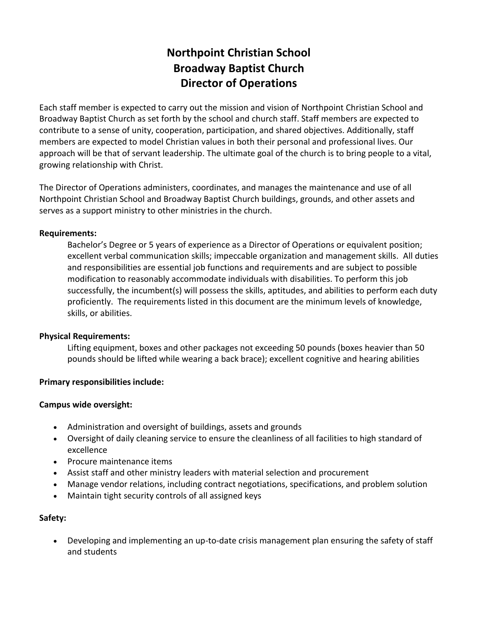# **Northpoint Christian School Broadway Baptist Church Director of Operations**

Each staff member is expected to carry out the mission and vision of Northpoint Christian School and Broadway Baptist Church as set forth by the school and church staff. Staff members are expected to contribute to a sense of unity, cooperation, participation, and shared objectives. Additionally, staff members are expected to model Christian values in both their personal and professional lives. Our approach will be that of servant leadership. The ultimate goal of the church is to bring people to a vital, growing relationship with Christ.

The Director of Operations administers, coordinates, and manages the maintenance and use of all Northpoint Christian School and Broadway Baptist Church buildings, grounds, and other assets and serves as a support ministry to other ministries in the church.

#### **Requirements:**

Bachelor's Degree or 5 years of experience as a Director of Operations or equivalent position; excellent verbal communication skills; impeccable organization and management skills. All duties and responsibilities are essential job functions and requirements and are subject to possible modification to reasonably accommodate individuals with disabilities. To perform this job successfully, the incumbent(s) will possess the skills, aptitudes, and abilities to perform each duty proficiently. The requirements listed in this document are the minimum levels of knowledge, skills, or abilities.

#### **Physical Requirements:**

Lifting equipment, boxes and other packages not exceeding 50 pounds (boxes heavier than 50 pounds should be lifted while wearing a back brace); excellent cognitive and hearing abilities

## **Primary responsibilities include:**

#### **Campus wide oversight:**

- Administration and oversight of buildings, assets and grounds
- Oversight of daily cleaning service to ensure the cleanliness of all facilities to high standard of excellence
- Procure maintenance items
- Assist staff and other ministry leaders with material selection and procurement
- Manage vendor relations, including contract negotiations, specifications, and problem solution
- Maintain tight security controls of all assigned keys

## **Safety:**

 Developing and implementing an up-to-date crisis management plan ensuring the safety of staff and students